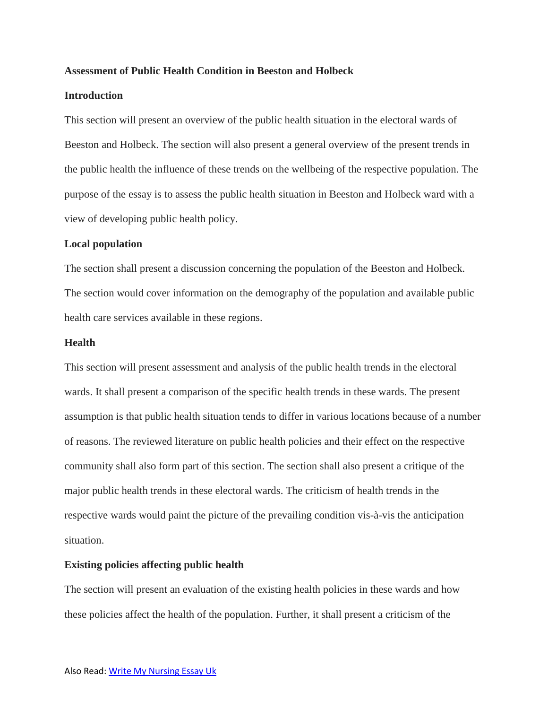## **Assessment of Public Health Condition in Beeston and Holbeck**

## **Introduction**

This section will present an overview of the public health situation in the electoral wards of Beeston and Holbeck. The section will also present a general overview of the present trends in the public health the influence of these trends on the wellbeing of the respective population. The purpose of the essay is to assess the public health situation in Beeston and Holbeck ward with a view of developing public health policy.

#### **Local population**

The section shall present a discussion concerning the population of the Beeston and Holbeck. The section would cover information on the demography of the population and available public health care services available in these regions.

## **Health**

This section will present assessment and analysis of the public health trends in the electoral wards. It shall present a comparison of the specific health trends in these wards. The present assumption is that public health situation tends to differ in various locations because of a number of reasons. The reviewed literature on public health policies and their effect on the respective community shall also form part of this section. The section shall also present a critique of the major public health trends in these electoral wards. The criticism of health trends in the respective wards would paint the picture of the prevailing condition vis-à-vis the anticipation situation.

#### **Existing policies affecting public health**

The section will present an evaluation of the existing health policies in these wards and how these policies affect the health of the population. Further, it shall present a criticism of the